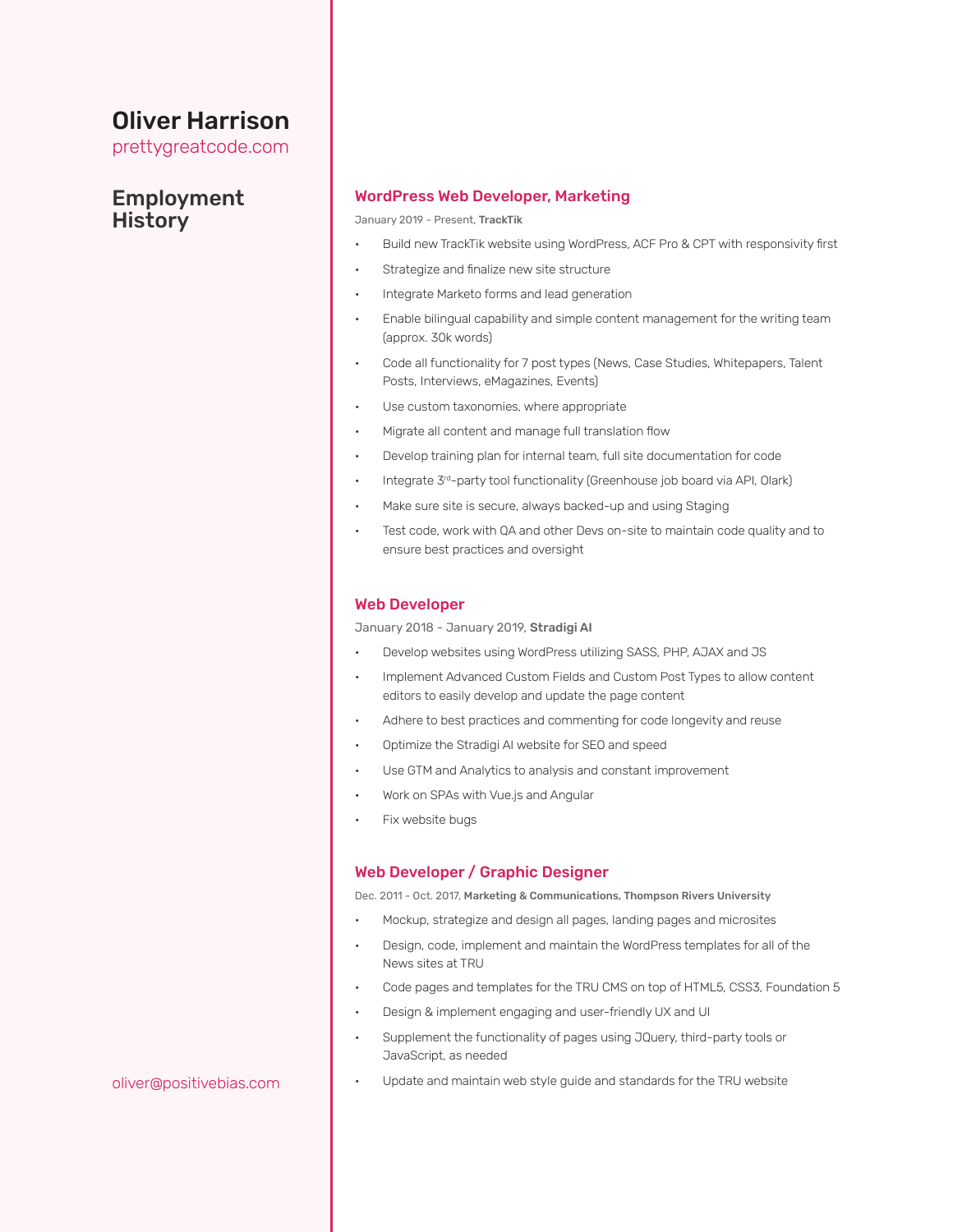# Oliver Harrison

prettygreatcode.com

# Employment **History**

#### WordPress Web Developer, Marketing

January 2019 - Present, TrackTik

- Build new TrackTik website using WordPress, ACF Pro & CPT with responsivity first
- Strategize and finalize new site structure
- Integrate Marketo forms and lead generation
- Enable bilingual capability and simple content management for the writing team (approx. 30k words)
- Code all functionality for 7 post types (News, Case Studies, Whitepapers, Talent Posts, Interviews, eMagazines, Events)
- Use custom taxonomies, where appropriate
- Migrate all content and manage full translation flow
- Develop training plan for internal team, full site documentation for code
- Integrate 3<sup>rd</sup>-party tool functionality (Greenhouse job board via API, Olark)
- Make sure site is secure, always backed-up and using Staging
- Test code, work with QA and other Devs on-site to maintain code quality and to ensure best practices and oversight

#### Web Developer

January 2018 - January 2019, Stradigi AI

- Develop websites using WordPress utilizing SASS, PHP, AJAX and JS
- Implement Advanced Custom Fields and Custom Post Types to allow content editors to easily develop and update the page content
- Adhere to best practices and commenting for code longevity and reuse
- Optimize the Stradigi AI website for SEO and speed
- Use GTM and Analytics to analysis and constant improvement
- Work on SPAs with Vue.js and Angular
- Fix website bugs

### Web Developer / Graphic Designer

Dec. 2011 - Oct. 2017, Marketing & Communications, Thompson Rivers University

- Mockup, strategize and design all pages, landing pages and microsites
- Design, code, implement and maintain the WordPress templates for all of the News sites at TRU
- Code pages and templates for the TRU CMS on top of HTML5, CSS3, Foundation 5
- Design & implement engaging and user-friendly UX and UI
- Supplement the functionality of pages using JQuery, third-party tools or JavaScript, as needed
- Update and maintain web style guide and standards for the TRU website

#### oliver@positivebias.com